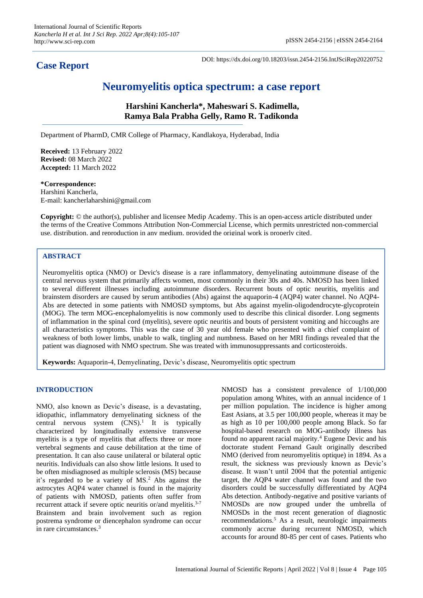# **Case Report**

DOI: https://dx.doi.org/10.18203/issn.2454-2156.IntJSciRep20220752

# **Neuromyelitis optica spectrum: a case report**

**Harshini Kancherla\*, Maheswari S. Kadimella, Ramya Bala Prabha Gelly, Ramo R. Tadikonda**

Department of PharmD, CMR College of Pharmacy, Kandlakoya, Hyderabad, India

**Received:** 13 February 2022 **Revised:** 08 March 2022 **Accepted:** 11 March 2022

## **\*Correspondence:**

Harshini Kancherla, E-mail: kancherlaharshini@gmail.com

**Copyright:** © the author(s), publisher and licensee Medip Academy. This is an open-access article distributed under the terms of the Creative Commons Attribution Non-Commercial License, which permits unrestricted non-commercial use, distribution, and reproduction in any medium, provided the original work is properly cited.

# **ABSTRACT**

Neuromyelitis optica (NMO) or Devic's disease is a rare inflammatory, demyelinating autoimmune disease of the central nervous system that primarily affects women, most commonly in their 30s and 40s. NMOSD has been linked to several different illnesses including autoimmune disorders. Recurrent bouts of optic neuritis, myelitis and brainstem disorders are caused by serum antibodies (Abs) against the aquaporin-4 (AQP4) water channel. No AQP4- Abs are detected in some patients with NMOSD symptoms, but Abs against myelin-oligodendrocyte-glycoprotein (MOG). The term MOG-encephalomyelitis is now commonly used to describe this clinical disorder. Long segments of inflammation in the spinal cord (myelitis), severe optic neuritis and bouts of persistent vomiting and hiccoughs are all characteristics symptoms. This was the case of 30 year old female who presented with a chief complaint of weakness of both lower limbs, unable to walk, tingling and numbness. Based on her MRI findings revealed that the patient was diagnosed with NMO spectrum. She was treated with immunosuppressants and corticosteroids.

**Keywords:** Aquaporin-4, Demyelinating, Devic's disease, Neuromyelitis optic spectrum

### **INTRODUCTION**

NMO, also known as Devic's disease, is a devastating, idiopathic, inflammatory demyelinating sickness of the central nervous system  $(CNS)^1$  It is typically characterized by longitudinally extensive transverse myelitis is a type of myelitis that affects three or more vertebral segments and cause debilitation at the time of presentation. It can also cause unilateral or bilateral optic neuritis. Individuals can also show little lesions. It used to be often misdiagnosed as multiple sclerosis (MS) because it's regarded to be a variety of MS.<sup>2</sup> Abs against the astrocytes AQP4 water channel is found in the majority of patients with NMOSD, patients often suffer from recurrent attack if severe optic neuritis or/and myelitis.<sup>3-7</sup> Brainstem and brain involvement such as region postrema syndrome or diencephalon syndrome can occur in rare circumstances.<sup>3</sup>

NMOSD has a consistent prevalence of 1/100,000 population among Whites, with an annual incidence of 1 per million population. The incidence is higher among East Asians, at 3.5 per 100,000 people, whereas it may be as high as 10 per 100,000 people among Black. So far hospital-based research on MOG-antibody illness has found no apparent racial majority.<sup>4</sup> Eugene Devic and his doctorate student Fernand Gault originally described NMO (derived from neuromyelitis optique) in 1894. As a result, the sickness was previously known as Devic's disease. It wasn't until 2004 that the potential antigenic target, the AQP4 water channel was found and the two disorders could be successfully differentiated by AQP4 Abs detection. Antibody-negative and positive variants of NMOSDs are now grouped under the umbrella of NMOSDs in the most recent generation of diagnostic recommendations.<sup>5</sup> As a result, neurologic impairments commonly accrue during recurrent NMOSD, which accounts for around 80-85 per cent of cases. Patients who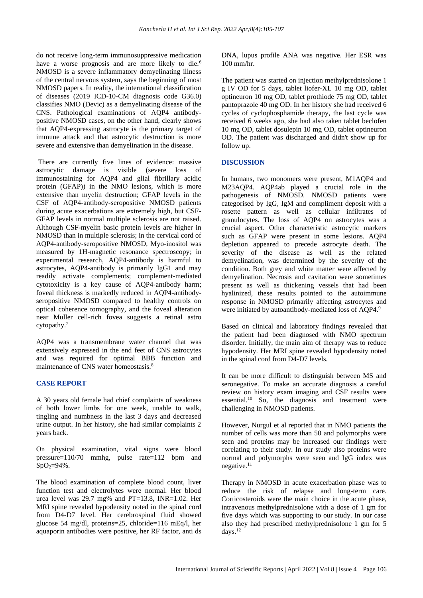do not receive long-term immunosuppressive medication have a worse prognosis and are more likely to die.<sup>6</sup> NMOSD is a severe inflammatory demyelinating illness of the central nervous system, says the beginning of most NMOSD papers. In reality, the international classification of diseases (2019 ICD-10-CM diagnosis code G36.0) classifies NMO (Devic) as a demyelinating disease of the CNS. Pathological examinations of AQP4 antibodypositive NMOSD cases, on the other hand, clearly shows that AQP4-expressing astrocyte is the primary target of immune attack and that astrocytic destruction is more severe and extensive than demyelination in the disease.

There are currently five lines of evidence: massive astrocytic damage is visible (severe loss of immunostaining for AQP4 and glial fibrillary acidic protein (GFAP)) in the NMO lesions, which is more extensive than myelin destruction; GFAP levels in the CSF of AQP4-antibody-seropositive NMOSD patients during acute exacerbations are extremely high, but CSF-GFAP levels in normal multiple sclerosis are not raised. Although CSF-myelin basic protein levels are higher in NMOSD than in multiple sclerosis; in the cervical cord of AQP4-antibody-seropositive NMOSD, Myo-inositol was measured by 1H-magnetic resonance spectroscopy; in experimental research, AQP4-antibody is harmful to astrocytes, AQP4-antibody is primarily IgG1 and may readily activate complements; complement-mediated cytotoxicity is a key cause of AQP4-antibody harm; foveal thickness is markedly reduced in AQP4-antibodyseropositive NMOSD compared to healthy controls on optical coherence tomography, and the foveal alteration near Muller cell-rich fovea suggests a retinal astro cytopathy. 7

AQP4 was a transmembrane water channel that was extensively expressed in the end feet of CNS astrocytes and was required for optimal BBB function and maintenance of CNS water homeostasis.<sup>8</sup>

# **CASE REPORT**

A 30 years old female had chief complaints of weakness of both lower limbs for one week, unable to walk, tingling and numbness in the last 3 days and decreased urine output. In her history, she had similar complaints 2 years back.

On physical examination, vital signs were blood pressure=110/70 mmhg, pulse rate=112 bpm and  $SpO<sub>2</sub>=94%$ .

The blood examination of complete blood count, liver function test and electrolytes were normal. Her blood urea level was 29.7 mg% and PT=13.8, INR=1.02. Her MRI spine revealed hypodensity noted in the spinal cord from D4-D7 level. Her cerebrospinal fluid showed glucose 54 mg/dl, proteins=25, chloride=116 mEq/l, her aquaporin antibodies were positive, her RF factor, anti ds DNA, lupus profile ANA was negative. Her ESR was 100 mm/hr.

The patient was started on injection methylprednisolone 1 g IV OD for 5 days, tablet liofer-XL 10 mg OD, tablet optineuron 10 mg OD, tablet prothiode 75 mg OD, tablet pantoprazole 40 mg OD. In her history she had received 6 cycles of cyclophosphamide therapy, the last cycle was received 6 weeks ago, she had also taken tablet beclofen 10 mg OD, tablet dosulepin 10 mg OD, tablet optineuron OD. The patient was discharged and didn't show up for follow up.

# **DISCUSSION**

In humans, two monomers were present, M1AQP4 and M23AQP4. AQP4ab played a crucial role in the pathogenesis of NMOSD. NMOSD patients were categorised by IgG, IgM and compliment deposit with a rosette pattern as well as cellular infiltrates of granulocytes. The loss of AQP4 on astrocytes was a crucial aspect. Other characteristic astrocytic markers such as GFAP were present in some lesions. AQP4 depletion appeared to precede astrocyte death. The severity of the disease as well as the related demyelination, was determined by the severity of the condition. Both grey and white matter were affected by demyelination. Necrosis and cavitation were sometimes present as well as thickening vessels that had been hyalinized, these results pointed to the autoimmune response in NMOSD primarily affecting astrocytes and were initiated by autoantibody-mediated loss of AQP4.<sup>9</sup>

Based on clinical and laboratory findings revealed that the patient had been diagnosed with NMO spectrum disorder. Initially, the main aim of therapy was to reduce hypodensity. Her MRI spine revealed hypodensity noted in the spinal cord from D4-D7 levels.

It can be more difficult to distinguish between MS and seronegative. To make an accurate diagnosis a careful review on history exam imaging and CSF results were essential.<sup>10</sup> So, the diagnosis and treatment were challenging in NMOSD patients.

However, Nurgul et al reported that in NMO patients the number of cells was more than 50 and polymorphs were seen and proteins may be increased our findings were corelating to their study. In our study also proteins were normal and polymorphs were seen and IgG index was negative.<sup>11</sup>

Therapy in NMOSD in acute exacerbation phase was to reduce the risk of relapse and long-term care. Corticosteroids were the main choice in the acute phase, intravenous methylprednisolone with a dose of 1 gm for five days which was supporting to our study. In our case also they had prescribed methylprednisolone 1 gm for 5 days. 12